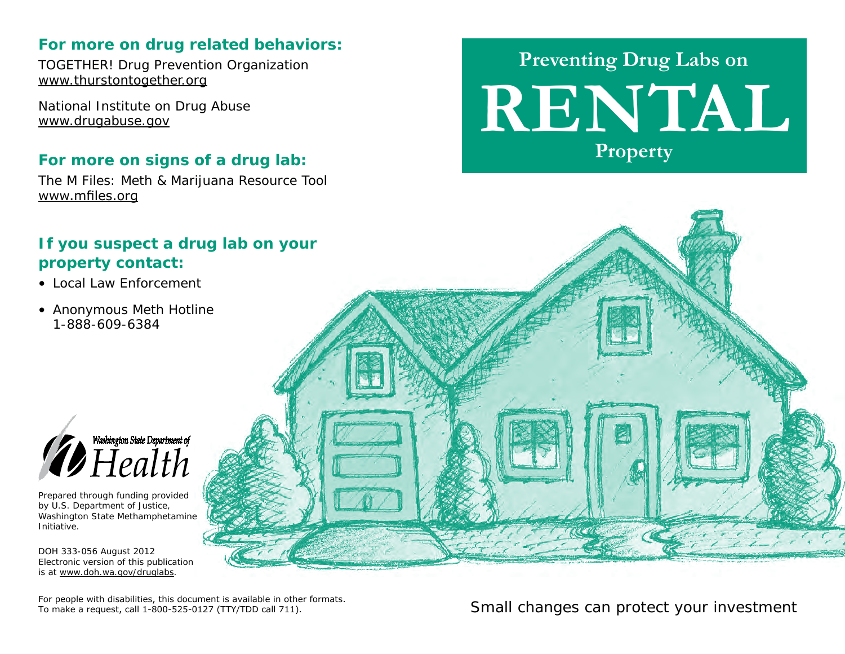#### **For more on drug related behaviors:**

TOGETHER! Drug Prevention Organization www.thurstontogether.org

National Institute on Drug Abuse www.drugabuse.gov

#### **For more on signs of a drug lab:**

The M Files: Meth & Marijuana Resource Tool www.mfiles.org

### **If you suspect a drug lab on your property contact:**

- Local Law Enforcement
- Anonymous Meth Hotline 1-888-609-6384



Prepared through funding provided by U.S. Department of Justice, Washington State Methamphetamine Initiative.

DOH 333-056 August 2012 Electronic version of this publication is at www.doh.wa.gov/druglabs.



**RENTAL Preventing Drug Labs on Property**

*Small changes can protect your investment*